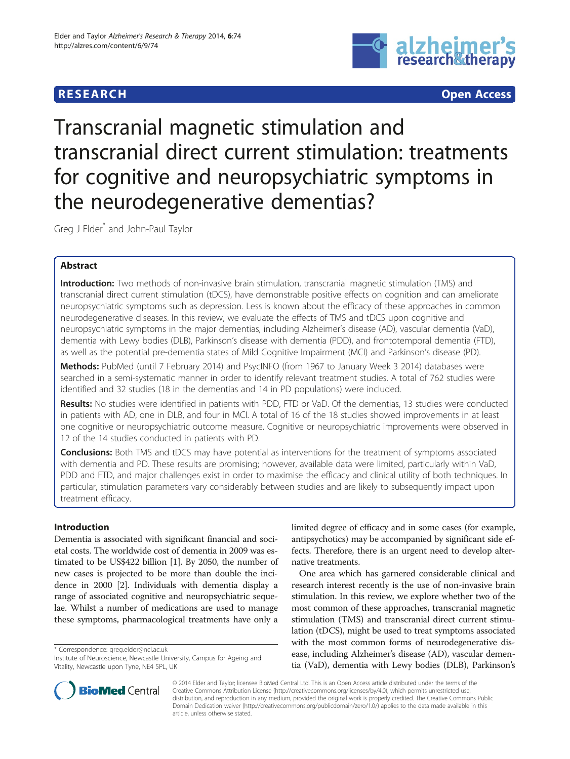# **RESEARCH CHINESE ARCH CHINESE ARCH**



Transcranial magnetic stimulation and transcranial direct current stimulation: treatments for cognitive and neuropsychiatric symptoms in the neurodegenerative dementias?

Greg J Elder\* and John-Paul Taylor

# Abstract

**Introduction:** Two methods of non-invasive brain stimulation, transcranial magnetic stimulation (TMS) and transcranial direct current stimulation (tDCS), have demonstrable positive effects on cognition and can ameliorate neuropsychiatric symptoms such as depression. Less is known about the efficacy of these approaches in common neurodegenerative diseases. In this review, we evaluate the effects of TMS and tDCS upon cognitive and neuropsychiatric symptoms in the major dementias, including Alzheimer's disease (AD), vascular dementia (VaD), dementia with Lewy bodies (DLB), Parkinson's disease with dementia (PDD), and frontotemporal dementia (FTD), as well as the potential pre-dementia states of Mild Cognitive Impairment (MCI) and Parkinson's disease (PD).

Methods: PubMed (until 7 February 2014) and PsycINFO (from 1967 to January Week 3 2014) databases were searched in a semi-systematic manner in order to identify relevant treatment studies. A total of 762 studies were identified and 32 studies (18 in the dementias and 14 in PD populations) were included.

Results: No studies were identified in patients with PDD, FTD or VaD. Of the dementias, 13 studies were conducted in patients with AD, one in DLB, and four in MCI. A total of 16 of the 18 studies showed improvements in at least one cognitive or neuropsychiatric outcome measure. Cognitive or neuropsychiatric improvements were observed in 12 of the 14 studies conducted in patients with PD.

**Conclusions:** Both TMS and tDCS may have potential as interventions for the treatment of symptoms associated with dementia and PD. These results are promising; however, available data were limited, particularly within VaD, PDD and FTD, and major challenges exist in order to maximise the efficacy and clinical utility of both techniques. In particular, stimulation parameters vary considerably between studies and are likely to subsequently impact upon treatment efficacy.

# Introduction

Dementia is associated with significant financial and societal costs. The worldwide cost of dementia in 2009 was estimated to be US\$422 billion [[1](#page-8-0)]. By 2050, the number of new cases is projected to be more than double the incidence in 2000 [\[2](#page-8-0)]. Individuals with dementia display a range of associated cognitive and neuropsychiatric sequelae. Whilst a number of medications are used to manage these symptoms, pharmacological treatments have only a

\* Correspondence: [greg.elder@ncl.ac.uk](mailto:greg.elder@ncl.ac.uk)

limited degree of efficacy and in some cases (for example, antipsychotics) may be accompanied by significant side effects. Therefore, there is an urgent need to develop alternative treatments.

One area which has garnered considerable clinical and research interest recently is the use of non-invasive brain stimulation. In this review, we explore whether two of the most common of these approaches, transcranial magnetic stimulation (TMS) and transcranial direct current stimulation (tDCS), might be used to treat symptoms associated with the most common forms of neurodegenerative disease, including Alzheimer's disease (AD), vascular dementia (VaD), dementia with Lewy bodies (DLB), Parkinson's



© 2014 Elder and Taylor; licensee BioMed Central Ltd. This is an Open Access article distributed under the terms of the Creative Commons Attribution License (<http://creativecommons.org/licenses/by/4.0>), which permits unrestricted use, distribution, and reproduction in any medium, provided the original work is properly credited. The Creative Commons Public Domain Dedication waiver [\(http://creativecommons.org/publicdomain/zero/1.0/\)](http://creativecommons.org/publicdomain/zero/1.0/) applies to the data made available in this article, unless otherwise stated.

Institute of Neuroscience, Newcastle University, Campus for Ageing and Vitality, Newcastle upon Tyne, NE4 5PL, UK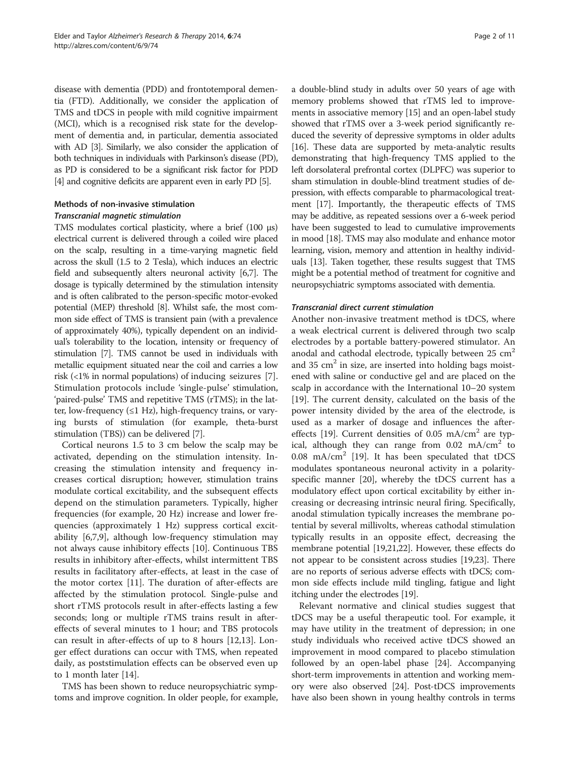disease with dementia (PDD) and frontotemporal dementia (FTD). Additionally, we consider the application of TMS and tDCS in people with mild cognitive impairment (MCI), which is a recognised risk state for the development of dementia and, in particular, dementia associated with AD [\[3\]](#page-8-0). Similarly, we also consider the application of both techniques in individuals with Parkinson's disease (PD), as PD is considered to be a significant risk factor for PDD [[4](#page-8-0)] and cognitive deficits are apparent even in early PD [[5](#page-8-0)].

# Methods of non-invasive stimulation Transcranial magnetic stimulation

TMS modulates cortical plasticity, where a brief (100 μs) electrical current is delivered through a coiled wire placed on the scalp, resulting in a time-varying magnetic field across the skull (1.5 to 2 Tesla), which induces an electric field and subsequently alters neuronal activity [[6,7\]](#page-8-0). The dosage is typically determined by the stimulation intensity and is often calibrated to the person-specific motor-evoked potential (MEP) threshold [\[8](#page-8-0)]. Whilst safe, the most common side effect of TMS is transient pain (with a prevalence of approximately 40%), typically dependent on an individual's tolerability to the location, intensity or frequency of stimulation [\[7](#page-8-0)]. TMS cannot be used in individuals with metallic equipment situated near the coil and carries a low risk (<1% in normal populations) of inducing seizures [\[7](#page-8-0)]. Stimulation protocols include 'single-pulse' stimulation, 'paired-pulse' TMS and repetitive TMS (rTMS); in the latter, low-frequency  $(\leq 1$  Hz), high-frequency trains, or varying bursts of stimulation (for example, theta-burst stimulation (TBS)) can be delivered [\[7\]](#page-8-0).

Cortical neurons 1.5 to 3 cm below the scalp may be activated, depending on the stimulation intensity. Increasing the stimulation intensity and frequency increases cortical disruption; however, stimulation trains modulate cortical excitability, and the subsequent effects depend on the stimulation parameters. Typically, higher frequencies (for example, 20 Hz) increase and lower frequencies (approximately 1 Hz) suppress cortical excitability [\[6](#page-8-0),[7](#page-8-0),[9\]](#page-8-0), although low-frequency stimulation may not always cause inhibitory effects [\[10\]](#page-8-0). Continuous TBS results in inhibitory after-effects, whilst intermittent TBS results in facilitatory after-effects, at least in the case of the motor cortex [[11\]](#page-8-0). The duration of after-effects are affected by the stimulation protocol. Single-pulse and short rTMS protocols result in after-effects lasting a few seconds; long or multiple rTMS trains result in aftereffects of several minutes to 1 hour; and TBS protocols can result in after-effects of up to 8 hours [\[12,13\]](#page-8-0). Longer effect durations can occur with TMS, when repeated daily, as poststimulation effects can be observed even up to 1 month later [\[14](#page-8-0)].

TMS has been shown to reduce neuropsychiatric symptoms and improve cognition. In older people, for example,

a double-blind study in adults over 50 years of age with memory problems showed that rTMS led to improvements in associative memory [[15\]](#page-8-0) and an open-label study showed that rTMS over a 3-week period significantly reduced the severity of depressive symptoms in older adults [[16](#page-8-0)]. These data are supported by meta-analytic results demonstrating that high-frequency TMS applied to the left dorsolateral prefrontal cortex (DLPFC) was superior to sham stimulation in double-blind treatment studies of depression, with effects comparable to pharmacological treatment [[17](#page-8-0)]. Importantly, the therapeutic effects of TMS may be additive, as repeated sessions over a 6-week period have been suggested to lead to cumulative improvements in mood [[18](#page-8-0)]. TMS may also modulate and enhance motor learning, vision, memory and attention in healthy individuals [\[13\]](#page-8-0). Taken together, these results suggest that TMS might be a potential method of treatment for cognitive and neuropsychiatric symptoms associated with dementia.

### Transcranial direct current stimulation

Another non-invasive treatment method is tDCS, where a weak electrical current is delivered through two scalp electrodes by a portable battery-powered stimulator. An anodal and cathodal electrode, typically between  $25 \text{ cm}^2$ and  $35 \text{ cm}^2$  in size, are inserted into holding bags moistened with saline or conductive gel and are placed on the scalp in accordance with the International 10–20 system [[19\]](#page-8-0). The current density, calculated on the basis of the power intensity divided by the area of the electrode, is used as a marker of dosage and influences the after-effects [\[19\]](#page-8-0). Current densities of 0.05 mA/cm<sup>2</sup> are typical, although they can range from  $0.02 \text{ mA/cm}^2$  to 0.08 mA/cm<sup>2</sup> [[19](#page-8-0)]. It has been speculated that tDCS modulates spontaneous neuronal activity in a polarityspecific manner [[20\]](#page-8-0), whereby the tDCS current has a modulatory effect upon cortical excitability by either increasing or decreasing intrinsic neural firing. Specifically, anodal stimulation typically increases the membrane potential by several millivolts, whereas cathodal stimulation typically results in an opposite effect, decreasing the membrane potential [\[19,21,22](#page-8-0)]. However, these effects do not appear to be consistent across studies [\[19,23\]](#page-8-0). There are no reports of serious adverse effects with tDCS; common side effects include mild tingling, fatigue and light itching under the electrodes [\[19\]](#page-8-0).

Relevant normative and clinical studies suggest that tDCS may be a useful therapeutic tool. For example, it may have utility in the treatment of depression; in one study individuals who received active tDCS showed an improvement in mood compared to placebo stimulation followed by an open-label phase [\[24\]](#page-8-0). Accompanying short-term improvements in attention and working memory were also observed [[24](#page-8-0)]. Post-tDCS improvements have also been shown in young healthy controls in terms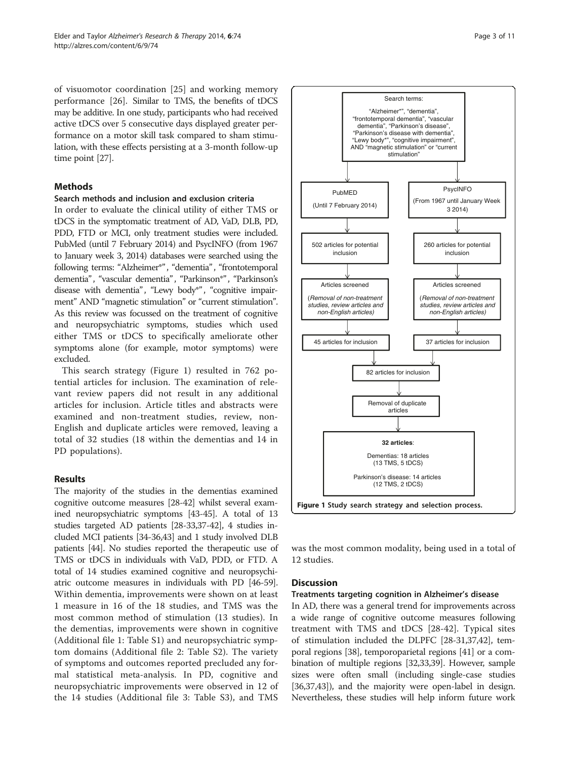of visuomotor coordination [\[25](#page-8-0)] and working memory performance [[26\]](#page-8-0). Similar to TMS, the benefits of tDCS may be additive. In one study, participants who had received active tDCS over 5 consecutive days displayed greater performance on a motor skill task compared to sham stimulation, with these effects persisting at a 3-month follow-up time point [\[27\]](#page-8-0).

### Methods

#### Search methods and inclusion and exclusion criteria

In order to evaluate the clinical utility of either TMS or tDCS in the symptomatic treatment of AD, VaD, DLB, PD, PDD, FTD or MCI, only treatment studies were included. PubMed (until 7 February 2014) and PsycINFO (from 1967 to January week 3, 2014) databases were searched using the following terms: "Alzheimer\*", "dementia", "frontotemporal dementia", "vascular dementia", "Parkinson\*", "Parkinson's disease with dementia", "Lewy body\*", "cognitive impairment" AND "magnetic stimulation" or "current stimulation". As this review was focussed on the treatment of cognitive and neuropsychiatric symptoms, studies which used either TMS or tDCS to specifically ameliorate other symptoms alone (for example, motor symptoms) were excluded.

This search strategy (Figure 1) resulted in 762 potential articles for inclusion. The examination of relevant review papers did not result in any additional articles for inclusion. Article titles and abstracts were examined and non-treatment studies, review, non-English and duplicate articles were removed, leaving a total of 32 studies (18 within the dementias and 14 in PD populations).

### Results

The majority of the studies in the dementias examined cognitive outcome measures [\[28-42\]](#page-8-0) whilst several examined neuropsychiatric symptoms [\[43-45\]](#page-9-0). A total of 13 studies targeted AD patients [[28-33,37-42\]](#page-8-0), 4 studies included MCI patients [\[34-36,](#page-8-0)[43](#page-9-0)] and 1 study involved DLB patients [\[44\]](#page-9-0). No studies reported the therapeutic use of TMS or tDCS in individuals with VaD, PDD, or FTD. A total of 14 studies examined cognitive and neuropsychiatric outcome measures in individuals with PD [[46](#page-9-0)-[59](#page-9-0)]. Within dementia, improvements were shown on at least 1 measure in 16 of the 18 studies, and TMS was the most common method of stimulation (13 studies). In the dementias, improvements were shown in cognitive (Additional file [1:](#page-7-0) Table S1) and neuropsychiatric symptom domains (Additional file [2:](#page-7-0) Table S2). The variety of symptoms and outcomes reported precluded any formal statistical meta-analysis. In PD, cognitive and neuropsychiatric improvements were observed in 12 of the 14 studies (Additional file [3](#page-7-0): Table S3), and TMS



was the most common modality, being used in a total of 12 studies.

### **Discussion**

#### Treatments targeting cognition in Alzheimer's disease

In AD, there was a general trend for improvements across a wide range of cognitive outcome measures following treatment with TMS and tDCS [\[28-42](#page-8-0)]. Typical sites of stimulation included the DLPFC [[28](#page-8-0)-[31](#page-8-0),[37,42\]](#page-8-0), temporal regions [\[38\]](#page-8-0), temporoparietal regions [\[41\]](#page-8-0) or a combination of multiple regions [\[32,33,39](#page-8-0)]. However, sample sizes were often small (including single-case studies [[36](#page-8-0),[37](#page-8-0)[,43\]](#page-9-0)), and the majority were open-label in design. Nevertheless, these studies will help inform future work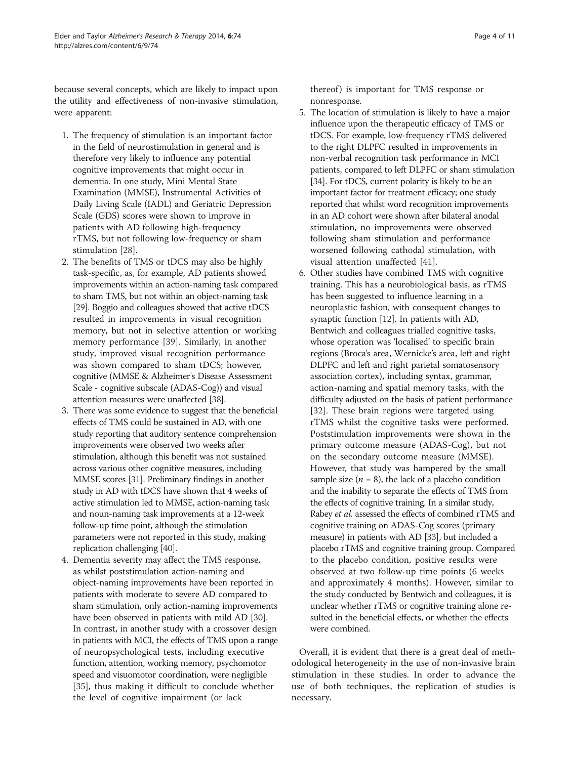because several concepts, which are likely to impact upon the utility and effectiveness of non-invasive stimulation, were apparent:

- 1. The frequency of stimulation is an important factor in the field of neurostimulation in general and is therefore very likely to influence any potential cognitive improvements that might occur in dementia. In one study, Mini Mental State Examination (MMSE), Instrumental Activities of Daily Living Scale (IADL) and Geriatric Depression Scale (GDS) scores were shown to improve in patients with AD following high-frequency rTMS, but not following low-frequency or sham stimulation [[28](#page-8-0)].
- 2. The benefits of TMS or tDCS may also be highly task-specific, as, for example, AD patients showed improvements within an action-naming task compared to sham TMS, but not within an object-naming task [\[29\]](#page-8-0). Boggio and colleagues showed that active tDCS resulted in improvements in visual recognition memory, but not in selective attention or working memory performance [\[39](#page-8-0)]. Similarly, in another study, improved visual recognition performance was shown compared to sham tDCS; however, cognitive (MMSE & Alzheimer's Disease Assessment Scale - cognitive subscale (ADAS-Cog)) and visual attention measures were unaffected [[38\]](#page-8-0).
- 3. There was some evidence to suggest that the beneficial effects of TMS could be sustained in AD, with one study reporting that auditory sentence comprehension improvements were observed two weeks after stimulation, although this benefit was not sustained across various other cognitive measures, including MMSE scores [\[31](#page-8-0)]. Preliminary findings in another study in AD with tDCS have shown that 4 weeks of active stimulation led to MMSE, action-naming task and noun-naming task improvements at a 12-week follow-up time point, although the stimulation parameters were not reported in this study, making replication challenging [[40](#page-8-0)].
- 4. Dementia severity may affect the TMS response, as whilst poststimulation action-naming and object-naming improvements have been reported in patients with moderate to severe AD compared to sham stimulation, only action-naming improvements have been observed in patients with mild AD [\[30\]](#page-8-0). In contrast, in another study with a crossover design in patients with MCI, the effects of TMS upon a range of neuropsychological tests, including executive function, attention, working memory, psychomotor speed and visuomotor coordination, were negligible [[35](#page-8-0)], thus making it difficult to conclude whether the level of cognitive impairment (or lack

thereof) is important for TMS response or nonresponse.

- 5. The location of stimulation is likely to have a major influence upon the therapeutic efficacy of TMS or tDCS. For example, low-frequency rTMS delivered to the right DLPFC resulted in improvements in non-verbal recognition task performance in MCI patients, compared to left DLPFC or sham stimulation [\[34\]](#page-8-0). For tDCS, current polarity is likely to be an important factor for treatment efficacy; one study reported that whilst word recognition improvements in an AD cohort were shown after bilateral anodal stimulation, no improvements were observed following sham stimulation and performance worsened following cathodal stimulation, with visual attention unaffected [\[41\]](#page-8-0).
- 6. Other studies have combined TMS with cognitive training. This has a neurobiological basis, as rTMS has been suggested to influence learning in a neuroplastic fashion, with consequent changes to synaptic function [[12](#page-8-0)]. In patients with AD, Bentwich and colleagues trialled cognitive tasks, whose operation was 'localised' to specific brain regions (Broca's area, Wernicke's area, left and right DLPFC and left and right parietal somatosensory association cortex), including syntax, grammar, action-naming and spatial memory tasks, with the difficulty adjusted on the basis of patient performance [[32](#page-8-0)]. These brain regions were targeted using rTMS whilst the cognitive tasks were performed. Poststimulation improvements were shown in the primary outcome measure (ADAS-Cog), but not on the secondary outcome measure (MMSE). However, that study was hampered by the small sample size  $(n = 8)$ , the lack of a placebo condition and the inability to separate the effects of TMS from the effects of cognitive training. In a similar study, Rabey et al. assessed the effects of combined rTMS and cognitive training on ADAS-Cog scores (primary measure) in patients with AD [\[33\]](#page-8-0), but included a placebo rTMS and cognitive training group. Compared to the placebo condition, positive results were observed at two follow-up time points (6 weeks and approximately 4 months). However, similar to the study conducted by Bentwich and colleagues, it is unclear whether rTMS or cognitive training alone resulted in the beneficial effects, or whether the effects were combined.

Overall, it is evident that there is a great deal of methodological heterogeneity in the use of non-invasive brain stimulation in these studies. In order to advance the use of both techniques, the replication of studies is necessary.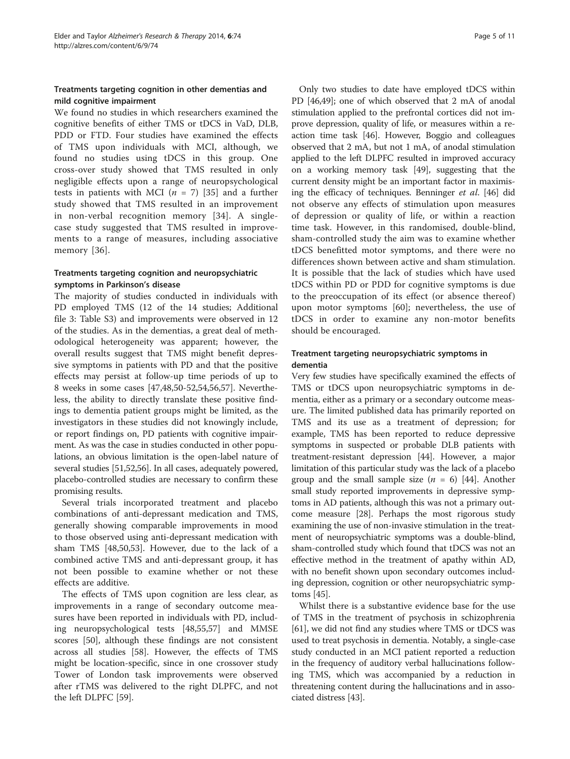# Treatments targeting cognition in other dementias and mild cognitive impairment

We found no studies in which researchers examined the cognitive benefits of either TMS or tDCS in VaD, DLB, PDD or FTD. Four studies have examined the effects of TMS upon individuals with MCI, although, we found no studies using tDCS in this group. One cross-over study showed that TMS resulted in only negligible effects upon a range of neuropsychological tests in patients with MCI ( $n = 7$ ) [\[35](#page-8-0)] and a further study showed that TMS resulted in an improvement in non-verbal recognition memory [[34\]](#page-8-0). A singlecase study suggested that TMS resulted in improvements to a range of measures, including associative memory [[36](#page-8-0)].

# Treatments targeting cognition and neuropsychiatric symptoms in Parkinson's disease

The majority of studies conducted in individuals with PD employed TMS (12 of the 14 studies; Additional file [3](#page-7-0): Table S3) and improvements were observed in 12 of the studies. As in the dementias, a great deal of methodological heterogeneity was apparent; however, the overall results suggest that TMS might benefit depressive symptoms in patients with PD and that the positive effects may persist at follow-up time periods of up to 8 weeks in some cases [[47](#page-9-0),[48](#page-9-0),[50](#page-9-0)-[52,54,56,57\]](#page-9-0). Nevertheless, the ability to directly translate these positive findings to dementia patient groups might be limited, as the investigators in these studies did not knowingly include, or report findings on, PD patients with cognitive impairment. As was the case in studies conducted in other populations, an obvious limitation is the open-label nature of several studies [[51](#page-9-0),[52,56\]](#page-9-0). In all cases, adequately powered, placebo-controlled studies are necessary to confirm these promising results.

Several trials incorporated treatment and placebo combinations of anti-depressant medication and TMS, generally showing comparable improvements in mood to those observed using anti-depressant medication with sham TMS [\[48,50,53](#page-9-0)]. However, due to the lack of a combined active TMS and anti-depressant group, it has not been possible to examine whether or not these effects are additive.

The effects of TMS upon cognition are less clear, as improvements in a range of secondary outcome measures have been reported in individuals with PD, including neuropsychological tests [[48](#page-9-0),[55](#page-9-0),[57](#page-9-0)] and MMSE scores [[50\]](#page-9-0), although these findings are not consistent across all studies [\[58](#page-9-0)]. However, the effects of TMS might be location-specific, since in one crossover study Tower of London task improvements were observed after rTMS was delivered to the right DLPFC, and not the left DLPFC [\[59](#page-9-0)].

Only two studies to date have employed tDCS within PD [\[46,49\]](#page-9-0); one of which observed that 2 mA of anodal stimulation applied to the prefrontal cortices did not improve depression, quality of life, or measures within a reaction time task [\[46\]](#page-9-0). However, Boggio and colleagues observed that 2 mA, but not 1 mA, of anodal stimulation applied to the left DLPFC resulted in improved accuracy on a working memory task [\[49\]](#page-9-0), suggesting that the current density might be an important factor in maximising the efficacy of techniques. Benninger et al. [[46](#page-9-0)] did not observe any effects of stimulation upon measures of depression or quality of life, or within a reaction time task. However, in this randomised, double-blind, sham-controlled study the aim was to examine whether tDCS benefitted motor symptoms, and there were no differences shown between active and sham stimulation. It is possible that the lack of studies which have used tDCS within PD or PDD for cognitive symptoms is due to the preoccupation of its effect (or absence thereof) upon motor symptoms [[60](#page-9-0)]; nevertheless, the use of tDCS in order to examine any non-motor benefits should be encouraged.

# Treatment targeting neuropsychiatric symptoms in dementia

Very few studies have specifically examined the effects of TMS or tDCS upon neuropsychiatric symptoms in dementia, either as a primary or a secondary outcome measure. The limited published data has primarily reported on TMS and its use as a treatment of depression; for example, TMS has been reported to reduce depressive symptoms in suspected or probable DLB patients with treatment-resistant depression [\[44](#page-9-0)]. However, a major limitation of this particular study was the lack of a placebo group and the small sample size  $(n = 6)$  [[44](#page-9-0)]. Another small study reported improvements in depressive symptoms in AD patients, although this was not a primary outcome measure [\[28\]](#page-8-0). Perhaps the most rigorous study examining the use of non-invasive stimulation in the treatment of neuropsychiatric symptoms was a double-blind, sham-controlled study which found that tDCS was not an effective method in the treatment of apathy within AD, with no benefit shown upon secondary outcomes including depression, cognition or other neuropsychiatric symptoms [\[45](#page-9-0)].

Whilst there is a substantive evidence base for the use of TMS in the treatment of psychosis in schizophrenia [[61](#page-9-0)], we did not find any studies where TMS or tDCS was used to treat psychosis in dementia. Notably, a single-case study conducted in an MCI patient reported a reduction in the frequency of auditory verbal hallucinations following TMS, which was accompanied by a reduction in threatening content during the hallucinations and in associated distress [\[43](#page-9-0)].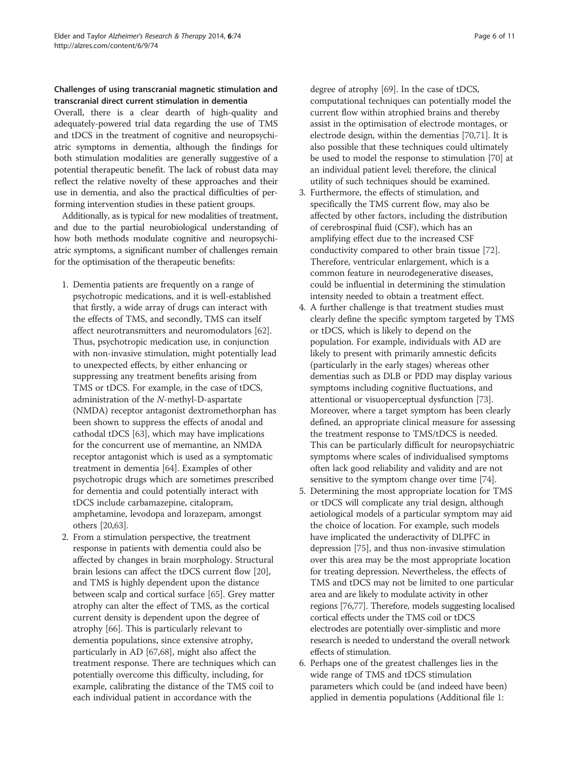# Challenges of using transcranial magnetic stimulation and transcranial direct current stimulation in dementia

Overall, there is a clear dearth of high-quality and adequately-powered trial data regarding the use of TMS and tDCS in the treatment of cognitive and neuropsychiatric symptoms in dementia, although the findings for both stimulation modalities are generally suggestive of a potential therapeutic benefit. The lack of robust data may reflect the relative novelty of these approaches and their use in dementia, and also the practical difficulties of performing intervention studies in these patient groups.

Additionally, as is typical for new modalities of treatment, and due to the partial neurobiological understanding of how both methods modulate cognitive and neuropsychiatric symptoms, a significant number of challenges remain for the optimisation of the therapeutic benefits:

- 1. Dementia patients are frequently on a range of psychotropic medications, and it is well-established that firstly, a wide array of drugs can interact with the effects of TMS, and secondly, TMS can itself affect neurotransmitters and neuromodulators [\[62\]](#page-9-0). Thus, psychotropic medication use, in conjunction with non-invasive stimulation, might potentially lead to unexpected effects, by either enhancing or suppressing any treatment benefits arising from TMS or tDCS. For example, in the case of tDCS, administration of the N-methyl-D-aspartate (NMDA) receptor antagonist dextromethorphan has been shown to suppress the effects of anodal and cathodal tDCS [\[63](#page-9-0)], which may have implications for the concurrent use of memantine, an NMDA receptor antagonist which is used as a symptomatic treatment in dementia [[64](#page-9-0)]. Examples of other psychotropic drugs which are sometimes prescribed for dementia and could potentially interact with tDCS include carbamazepine, citalopram, amphetamine, levodopa and lorazepam, amongst others [[20](#page-8-0)[,63\]](#page-9-0).
- 2. From a stimulation perspective, the treatment response in patients with dementia could also be affected by changes in brain morphology. Structural brain lesions can affect the tDCS current flow [\[20\]](#page-8-0), and TMS is highly dependent upon the distance between scalp and cortical surface [\[65\]](#page-9-0). Grey matter atrophy can alter the effect of TMS, as the cortical current density is dependent upon the degree of atrophy [\[66](#page-9-0)]. This is particularly relevant to dementia populations, since extensive atrophy, particularly in AD [[67,68\]](#page-9-0), might also affect the treatment response. There are techniques which can potentially overcome this difficulty, including, for example, calibrating the distance of the TMS coil to each individual patient in accordance with the

degree of atrophy [\[69\]](#page-9-0). In the case of tDCS, computational techniques can potentially model the current flow within atrophied brains and thereby assist in the optimisation of electrode montages, or electrode design, within the dementias [[70](#page-9-0),[71](#page-9-0)]. It is also possible that these techniques could ultimately be used to model the response to stimulation [\[70\]](#page-9-0) at an individual patient level; therefore, the clinical utility of such techniques should be examined.

- 3. Furthermore, the effects of stimulation, and specifically the TMS current flow, may also be affected by other factors, including the distribution of cerebrospinal fluid (CSF), which has an amplifying effect due to the increased CSF conductivity compared to other brain tissue [[72](#page-9-0)]. Therefore, ventricular enlargement, which is a common feature in neurodegenerative diseases, could be influential in determining the stimulation intensity needed to obtain a treatment effect.
- 4. A further challenge is that treatment studies must clearly define the specific symptom targeted by TMS or tDCS, which is likely to depend on the population. For example, individuals with AD are likely to present with primarily amnestic deficits (particularly in the early stages) whereas other dementias such as DLB or PDD may display various symptoms including cognitive fluctuations, and attentional or visuoperceptual dysfunction [[73](#page-9-0)]. Moreover, where a target symptom has been clearly defined, an appropriate clinical measure for assessing the treatment response to TMS/tDCS is needed. This can be particularly difficult for neuropsychiatric symptoms where scales of individualised symptoms often lack good reliability and validity and are not sensitive to the symptom change over time [\[74\]](#page-9-0).
- 5. Determining the most appropriate location for TMS or tDCS will complicate any trial design, although aetiological models of a particular symptom may aid the choice of location. For example, such models have implicated the underactivity of DLPFC in depression [\[75\]](#page-9-0), and thus non-invasive stimulation over this area may be the most appropriate location for treating depression. Nevertheless, the effects of TMS and tDCS may not be limited to one particular area and are likely to modulate activity in other regions [\[76,77](#page-9-0)]. Therefore, models suggesting localised cortical effects under the TMS coil or tDCS electrodes are potentially over-simplistic and more research is needed to understand the overall network effects of stimulation.
- 6. Perhaps one of the greatest challenges lies in the wide range of TMS and tDCS stimulation parameters which could be (and indeed have been) applied in dementia populations (Additional file [1:](#page-7-0)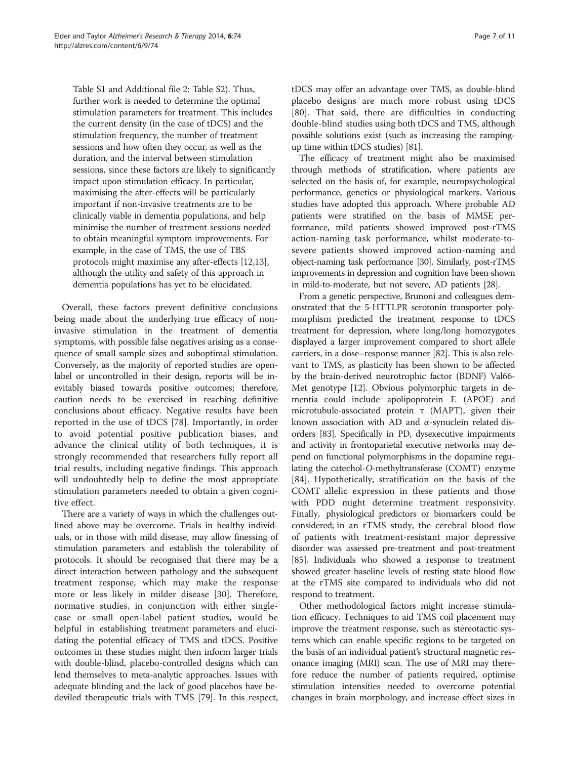Table S1 and Additional file [2](#page-7-0): Table S2). Thus, further work is needed to determine the optimal stimulation parameters for treatment. This includes the current density (in the case of tDCS) and the stimulation frequency, the number of treatment sessions and how often they occur, as well as the duration, and the interval between stimulation sessions, since these factors are likely to significantly impact upon stimulation efficacy. In particular, maximising the after-effects will be particularly important if non-invasive treatments are to be clinically viable in dementia populations, and help minimise the number of treatment sessions needed to obtain meaningful symptom improvements. For example, in the case of TMS, the use of TBS protocols might maximise any after-effects [[12,13\]](#page-8-0), although the utility and safety of this approach in dementia populations has yet to be elucidated.

Overall, these factors prevent definitive conclusions being made about the underlying true efficacy of noninvasive stimulation in the treatment of dementia symptoms, with possible false negatives arising as a consequence of small sample sizes and suboptimal stimulation. Conversely, as the majority of reported studies are openlabel or uncontrolled in their design, reports will be inevitably biased towards positive outcomes; therefore, caution needs to be exercised in reaching definitive conclusions about efficacy. Negative results have been reported in the use of tDCS [\[78](#page-9-0)]. Importantly, in order to avoid potential positive publication biases, and advance the clinical utility of both techniques, it is strongly recommended that researchers fully report all trial results, including negative findings. This approach will undoubtedly help to define the most appropriate stimulation parameters needed to obtain a given cognitive effect.

There are a variety of ways in which the challenges outlined above may be overcome. Trials in healthy individuals, or in those with mild disease, may allow finessing of stimulation parameters and establish the tolerability of protocols. It should be recognised that there may be a direct interaction between pathology and the subsequent treatment response, which may make the response more or less likely in milder disease [[30\]](#page-8-0). Therefore, normative studies, in conjunction with either singlecase or small open-label patient studies, would be helpful in establishing treatment parameters and elucidating the potential efficacy of TMS and tDCS. Positive outcomes in these studies might then inform larger trials with double-blind, placebo-controlled designs which can lend themselves to meta-analytic approaches. Issues with adequate blinding and the lack of good placebos have bedeviled therapeutic trials with TMS [\[79\]](#page-9-0). In this respect, tDCS may offer an advantage over TMS, as double-blind placebo designs are much more robust using tDCS [[80\]](#page-9-0). That said, there are difficulties in conducting double-blind studies using both tDCS and TMS, although possible solutions exist (such as increasing the rampingup time within tDCS studies) [\[81\]](#page-9-0).

The efficacy of treatment might also be maximised through methods of stratification, where patients are selected on the basis of, for example, neuropsychological performance, genetics or physiological markers. Various studies have adopted this approach. Where probable AD patients were stratified on the basis of MMSE performance, mild patients showed improved post-rTMS action-naming task performance, whilst moderate-tosevere patients showed improved action-naming and object-naming task performance [30]. Similarly, post-rTMS improvements in depression and cognition have been shown in mild-to-moderate, but not severe, AD patients [\[28\]](#page-8-0).

From a genetic perspective, Brunoni and colleagues demonstrated that the 5-HTTLPR serotonin transporter polymorphism predicted the treatment response to tDCS treatment for depression, where long/long homozygotes displayed a larger improvement compared to short allele carriers, in a dose–response manner [\[82](#page-9-0)]. This is also relevant to TMS, as plasticity has been shown to be affected by the brain-derived neurotrophic factor (BDNF) Val66- Met genotype [\[12\]](#page-8-0). Obvious polymorphic targets in dementia could include apolipoprotein E (APOE) and microtubule-associated protein τ (MAPT), given their known association with AD and α-synuclein related disorders [\[83\]](#page-9-0). Specifically in PD, dysexecutive impairments and activity in frontoparietal executive networks may depend on functional polymorphisms in the dopamine regulating the catechol-O-methyltransferase (COMT) enzyme [[84\]](#page-10-0). Hypothetically, stratification on the basis of the COMT allelic expression in these patients and those with PDD might determine treatment responsivity. Finally, physiological predictors or biomarkers could be considered; in an rTMS study, the cerebral blood flow of patients with treatment-resistant major depressive disorder was assessed pre-treatment and post-treatment [[85](#page-10-0)]. Individuals who showed a response to treatment showed greater baseline levels of resting state blood flow at the rTMS site compared to individuals who did not respond to treatment.

Other methodological factors might increase stimulation efficacy. Techniques to aid TMS coil placement may improve the treatment response, such as stereotactic systems which can enable specific regions to be targeted on the basis of an individual patient's structural magnetic resonance imaging (MRI) scan. The use of MRI may therefore reduce the number of patients required, optimise stimulation intensities needed to overcome potential changes in brain morphology, and increase effect sizes in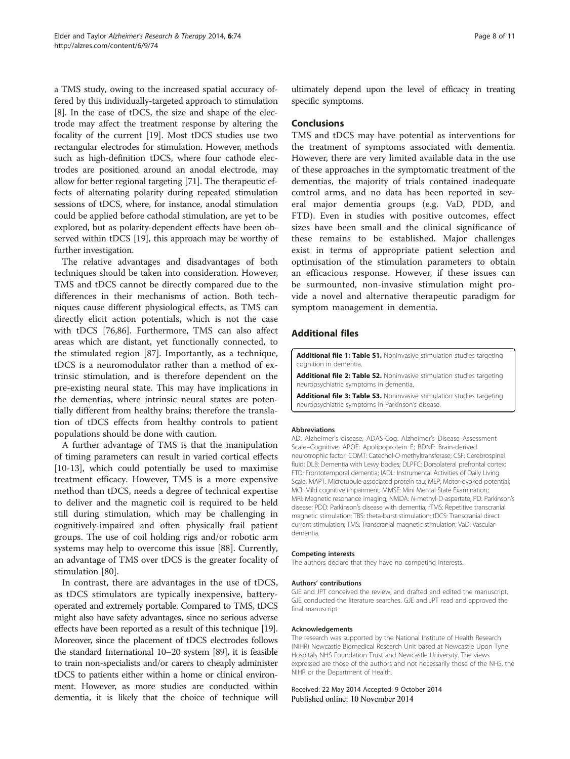<span id="page-7-0"></span>a TMS study, owing to the increased spatial accuracy offered by this individually-targeted approach to stimulation [[8\]](#page-8-0). In the case of tDCS, the size and shape of the electrode may affect the treatment response by altering the focality of the current [[19](#page-8-0)]. Most tDCS studies use two rectangular electrodes for stimulation. However, methods such as high-definition tDCS, where four cathode electrodes are positioned around an anodal electrode, may allow for better regional targeting [\[71\]](#page-9-0). The therapeutic effects of alternating polarity during repeated stimulation sessions of tDCS, where, for instance, anodal stimulation could be applied before cathodal stimulation, are yet to be explored, but as polarity-dependent effects have been observed within tDCS [[19](#page-8-0)], this approach may be worthy of further investigation.

The relative advantages and disadvantages of both techniques should be taken into consideration. However, TMS and tDCS cannot be directly compared due to the differences in their mechanisms of action. Both techniques cause different physiological effects, as TMS can directly elicit action potentials, which is not the case with tDCS [\[76](#page-9-0)[,86](#page-10-0)]. Furthermore, TMS can also affect areas which are distant, yet functionally connected, to the stimulated region [\[87](#page-10-0)]. Importantly, as a technique, tDCS is a neuromodulator rather than a method of extrinsic stimulation, and is therefore dependent on the pre-existing neural state. This may have implications in the dementias, where intrinsic neural states are potentially different from healthy brains; therefore the translation of tDCS effects from healthy controls to patient populations should be done with caution.

A further advantage of TMS is that the manipulation of timing parameters can result in varied cortical effects [[10-13](#page-8-0)], which could potentially be used to maximise treatment efficacy. However, TMS is a more expensive method than tDCS, needs a degree of technical expertise to deliver and the magnetic coil is required to be held still during stimulation, which may be challenging in cognitively-impaired and often physically frail patient groups. The use of coil holding rigs and/or robotic arm systems may help to overcome this issue [[88\]](#page-10-0). Currently, an advantage of TMS over tDCS is the greater focality of stimulation [\[80\]](#page-9-0).

In contrast, there are advantages in the use of tDCS, as tDCS stimulators are typically inexpensive, batteryoperated and extremely portable. Compared to TMS, tDCS might also have safety advantages, since no serious adverse effects have been reported as a result of this technique [\[19](#page-8-0)]. Moreover, since the placement of tDCS electrodes follows the standard International 10–20 system [\[89\]](#page-10-0), it is feasible to train non-specialists and/or carers to cheaply administer tDCS to patients either within a home or clinical environment. However, as more studies are conducted within dementia, it is likely that the choice of technique will ultimately depend upon the level of efficacy in treating specific symptoms.

#### Conclusions

TMS and tDCS may have potential as interventions for the treatment of symptoms associated with dementia. However, there are very limited available data in the use of these approaches in the symptomatic treatment of the dementias, the majority of trials contained inadequate control arms, and no data has been reported in several major dementia groups (e.g. VaD, PDD, and FTD). Even in studies with positive outcomes, effect sizes have been small and the clinical significance of these remains to be established. Major challenges exist in terms of appropriate patient selection and optimisation of the stimulation parameters to obtain an efficacious response. However, if these issues can be surmounted, non-invasive stimulation might provide a novel and alternative therapeutic paradigm for symptom management in dementia.

# Additional files

[Additional file 1: Table S1.](http://alzres.com/content/supplementary/s13195-014-0074-1-s1.docx) Noninvasive stimulation studies targeting cognition in dementia.

[Additional file 2: Table S2.](http://alzres.com/content/supplementary/s13195-014-0074-1-s2.docx) Noninvasive stimulation studies targeting neuropsychiatric symptoms in dementia.

[Additional file 3: Table S3.](http://alzres.com/content/supplementary/s13195-014-0074-1-s3.docx) Noninvasive stimulation studies targeting neuropsychiatric symptoms in Parkinson's disease.

#### Abbreviations

AD: Alzheimer's disease; ADAS-Cog: Alzheimer's Disease Assessment Scale–Cognitive; APOE: Apolipoprotein E; BDNF: Brain-derived neurotrophic factor; COMT: Catechol-O-methyltransferase; CSF: Cerebrospinal fluid; DLB: Dementia with Lewy bodies; DLPFC: Dorsolateral prefrontal cortex; FTD: Frontotemporal dementia; IADL: Instrumental Activities of Daily Living Scale; MAPT: Microtubule-associated protein tau; MEP: Motor-evoked potential; MCI: Mild cognitive impairment; MMSE: Mini Mental State Examination; MRI: Magnetic resonance imaging; NMDA: N-methyl-D-aspartate; PD: Parkinson's disease; PDD: Parkinson's disease with dementia; rTMS: Repetitive transcranial magnetic stimulation; TBS: theta-burst stimulation; tDCS: Transcranial direct current stimulation; TMS: Transcranial magnetic stimulation; VaD: Vascular dementia.

#### Competing interests

The authors declare that they have no competing interests.

#### Authors' contributions

GJE and JPT conceived the review, and drafted and edited the manuscript. GJE conducted the literature searches. GJE and JPT read and approved the final manuscript.

#### Acknowledgements

The research was supported by the National Institute of Health Research (NIHR) Newcastle Biomedical Research Unit based at Newcastle Upon Tyne Hospitals NHS Foundation Trust and Newcastle University. The views expressed are those of the authors and not necessarily those of the NHS, the NIHR or the Department of Health.

Received: 22 May 2014 Accepted: 9 October 2014 Published online: 10 November 2014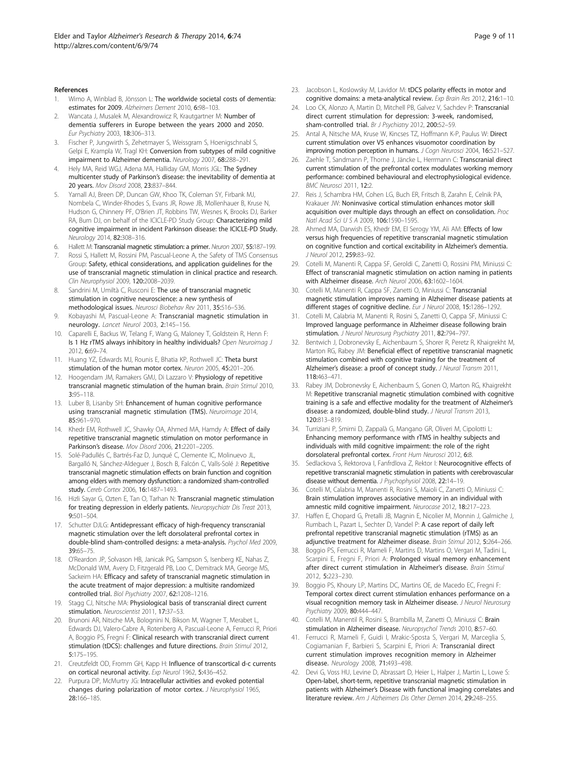- <span id="page-8-0"></span>Wimo A, Winblad B, Jönsson L: The worldwide societal costs of dementia: estimates for 2009. Alzheimers Dement 2010, 6:98–103.
- Wancata J, Musalek M, Alexandrowicz R, Krautgartner M: Number of dementia sufferers in Europe between the years 2000 and 2050. Eur Psychiatry 2003, 18:306–313.
- 3. Fischer P, Jungwirth S, Zehetmayer S, Weissgram S, Hoenigschnabl S, Gelpi E, Krampla W, Tragl KH: Conversion from subtypes of mild cognitive impairment to Alzheimer dementia. Neurology 2007, 68:288–291.
- 4. Hely MA, Reid WGJ, Adena MA, Halliday GM, Morris JGL: The Sydney multicenter study of Parkinson's disease: the inevitability of dementia at 20 years. Mov Disord 2008, 23:837–844.
- Yarnall AJ, Breen DP, Duncan GW, Khoo TK, Coleman SY, Firbank MJ, Nombela C, Winder-Rhodes S, Evans JR, Rowe JB, Mollenhauer B, Kruse N, Hudson G, Chinnery PF, O'Brien JT, Robbins TW, Wesnes K, Brooks DJ, Barker RA, Burn DJ, on behalf of the ICICLE-PD Study Group: Characterizing mild cognitive impairment in incident Parkinson disease: the ICICLE-PD Study. Neurology 2014, 82:308–316.
- 6. Hallett M: Transcranial magnetic stimulation: a primer. Neuron 2007, 55:187–199.
- 7. Rossi S, Hallett M, Rossini PM, Pascual-Leone A, the Safety of TMS Consensus Group: Safety, ethical considerations, and application guidelines for the use of transcranial magnetic stimulation in clinical practice and research. Clin Neurophysiol 2009, 120:2008–2039.
- 8. Sandrini M, Umiltà C, Rusconi E: The use of transcranial magnetic stimulation in cognitive neuroscience: a new synthesis of methodological issues. Neurosci Biobehav Rev 2011, 35:516–536.
- 9. Kobayashi M, Pascual-Leone A: Transcranial magnetic stimulation in neurology. Lancet Neurol 2003, 2:145–156.
- 10. Caparelli E, Backus W, Telang F, Wang G, Maloney T, Goldstein R, Henn F: Is 1 Hz rTMS always inhibitory in healthy individuals? Open Neuroimag J 2012, 6:69–74.
- 11. Huang YZ, Edwards MJ, Rounis E, Bhatia KP, Rothwell JC: Theta burst stimulation of the human motor cortex. Neuron 2005, 45:201–206.
- 12. Hoogendam JM, Ramakers GMJ, Di Lazzaro V: Physiology of repetitive transcranial magnetic stimulation of the human brain. Brain Stimul 2010, 3:95–118.
- 13. Luber B, Lisanby SH: Enhancement of human cognitive performance using transcranial magnetic stimulation (TMS). Neuroimage 2014, 85:961–970.
- 14. Khedr EM, Rothwell JC, Shawky OA, Ahmed MA, Hamdy A: Effect of daily repetitive transcranial magnetic stimulation on motor performance in Parkinson's disease. Mov Disord 2006, 21:2201-2205.
- 15. Solé-Padullés C, Bartrés-Faz D, Junqué C, Clemente IC, Molinuevo JL, Bargalló N, Sánchez-Aldeguer J, Bosch B, Falcón C, Valls-Solé J: Repetitive transcranial magnetic stimulation effects on brain function and cognition among elders with memory dysfunction: a randomized sham-controlled study. Cereb Cortex 2006, 16:1487–1493.
- 16. Hizli Sayar G, Ozten E, Tan O, Tarhan N: Transcranial magnetic stimulation for treating depression in elderly patients. Neuropsychiatr Dis Treat 2013, 9:501–504.
- 17. Schutter DJLG: Antidepressant efficacy of high-frequency transcranial magnetic stimulation over the left dorsolateral prefrontal cortex in double-blind sham-controlled designs: a meta-analysis. Psychol Med 2009, 39:65–75.
- 18. O'Reardon JP, Solvason HB, Janicak PG, Sampson S, Isenberg KE, Nahas Z, McDonald WM, Avery D, Fitzgerald PB, Loo C, Demitrack MA, George MS, Sackeim HA: Efficacy and safety of transcranial magnetic stimulation in the acute treatment of major depression: a multisite randomized controlled trial. Biol Psychiatry 2007, 62:1208–1216.
- 19. Stagg CJ, Nitsche MA: Physiological basis of transcranial direct current stimulation. Neuroscientist 2011, 17:37–53.
- 20. Brunoni AR, Nitsche MA, Bolognini N, Bikson M, Wagner T, Merabet L, Edwards DJ, Valero-Cabre A, Rotenberg A, Pascual-Leone A, Ferrucci R, Priori A, Boggio PS, Fregni F: Clinical research with transcranial direct current stimulation (tDCS): challenges and future directions. Brain Stimul 2012, 5:175–195.
- 21. Creutzfeldt OD, Fromm GH, Kapp H: Influence of transcortical d-c currents on cortical neuronal activity. Exp Neurol 1962, 5:436–452.
- 22. Purpura DP, McMurtry JG: Intracellular activities and evoked potential changes during polarization of motor cortex. J Neurophysiol 1965, 28:166–185.
- 23. Jacobson L, Koslowsky M, Lavidor M: tDCS polarity effects in motor and cognitive domains: a meta-analytical review. Exp Brain Res 2012, 216:1–10.
- 24. Loo CK, Alonzo A, Martin D, Mitchell PB, Galvez V, Sachdev P: Transcranial direct current stimulation for depression: 3-week, randomised, sham-controlled trial. Br J Psychiatry 2012, 200:52-59.
- 25. Antal A, Nitsche MA, Kruse W, Kincses TZ, Hoffmann K-P, Paulus W: Direct current stimulation over V5 enhances visuomotor coordination by improving motion perception in humans. J Cogn Neurosci 2004, 16:521-527.
- 26. Zaehle T, Sandmann P, Thorne J, Jäncke L, Herrmann C: Transcranial direct current stimulation of the prefrontal cortex modulates working memory performance: combined behavioural and electrophysiological evidence. BMC Neurosci 2011, 12:2.
- 27. Reis J, Schambra HM, Cohen LG, Buch ER, Fritsch B, Zarahn E, Celnik PA, Krakauer JW: Noninvasive cortical stimulation enhances motor skill acquisition over multiple days through an effect on consolidation. Proc Natl Acad Sci U S A 2009, 106:1590–1595.
- 28. Ahmed MA, Darwish ES, Khedr EM, El Serogy YM, Ali AM: Effects of low versus high frequencies of repetitive transcranial magnetic stimulation on cognitive function and cortical excitability in Alzheimer's dementia. J Neurol 2012, 259:83–92.
- 29. Cotelli M, Manenti R, Cappa SF, Geroldi C, Zanetti O, Rossini PM, Miniussi C: Effect of transcranial magnetic stimulation on action naming in patients with Alzheimer disease. Arch Neurol 2006, 63:1602–1604.
- 30. Cotelli M, Manenti R, Cappa SF, Zanetti O, Miniussi C: Transcranial magnetic stimulation improves naming in Alzheimer disease patients at different stages of cognitive decline. Eur J Neurol 2008, 15:1286–1292.
- 31. Cotelli M, Calabria M, Manenti R, Rosini S, Zanetti O, Cappa SF, Miniussi C: Improved language performance in Alzheimer disease following brain stimulation. J Neurol Neurosurg Psychiatry 2011, 82:794-797
- 32. Bentwich J, Dobronevsky E, Aichenbaum S, Shorer R, Peretz R, Khaigrekht M, Marton RG, Rabey JM: Beneficial effect of repetitive transcranial magnetic stimulation combined with cognitive training for the treatment of Alzheimer's disease: a proof of concept study. J Neural Transm 2011, 118:463–471.
- 33. Rabey JM, Dobronevsky E, Aichenbaum S, Gonen O, Marton RG, Khaigrekht M: Repetitive transcranial magnetic stimulation combined with cognitive training is a safe and effective modality for the treatment of Alzheimer's disease: a randomized, double-blind study. J Neural Transm 2013, 120:813–819.
- 34. Turriziani P, Smirni D, Zappalà G, Mangano GR, Oliveri M, Cipolotti L: Enhancing memory performance with rTMS in healthy subjects and individuals with mild cognitive impairment: the role of the right dorsolateral prefrontal cortex. Front Hum Neurosci 2012, 6:8.
- 35. Sedlackova S, Rektorova I, Fanfrdlova Z, Rektor I: Neurocognitive effects of repetitive transcranial magnetic stimulation in patients with cerebrovascular disease without dementia. J Psychophysiol 2008, 22:14-19.
- 36. Cotelli M, Calabria M, Manenti R, Rosini S, Maioli C, Zanetti O, Miniussi C: Brain stimulation improves associative memory in an individual with amnestic mild cognitive impairment. Neurocase 2012, 18:217–223.
- Haffen E, Chopard G, Pretalli JB, Magnin E, Nicolier M, Monnin J, Galmiche J, Rumbach L, Pazart L, Sechter D, Vandel P: A case report of daily left prefrontal repetitive transcranial magnetic stimulation (rTMS) as an adjunctive treatment for Alzheimer disease. Brain Stimul 2012, 5:264–266.
- 38. Boggio PS, Ferrucci R, Mameli F, Martins D, Martins O, Vergari M, Tadini L, Scarpini E, Fregni F, Priori A: Prolonged visual memory enhancement after direct current stimulation in Alzheimer's disease. Brain Stimul 2012, 5:223–230.
- 39. Boggio PS, Khoury LP, Martins DC, Martins OE, de Macedo EC, Fregni F: Temporal cortex direct current stimulation enhances performance on a visual recognition memory task in Alzheimer disease. J Neurol Neurosurg Psychiatry 2009, 80:444–447.
- 40. Cotelli M, Manentil R, Rosini S, Brambilla M, Zanetti O, Miniussi C: Brain stimulation in Alzheimer disease. Neuropsychol Trends 2010, 8:57–60.
- 41. Ferrucci R, Mameli F, Guidi I, Mrakic-Sposta S, Vergari M, Marceglia S, Cogiamanian F, Barbieri S, Scarpini E, Priori A: Transcranial direct current stimulation improves recognition memory in Alzheimer disease. Neurology 2008, 71:493–498.
- 42. Devi G, Voss HU, Levine D, Abrassart D, Heier L, Halper J, Martin L, Lowe S: Open-label, short-term, repetitive transcranial magnetic stimulation in patients with Alzheimer's Disease with functional imaging correlates and literature review. Am J Alzheimers Dis Other Demen 2014, 29:248-255.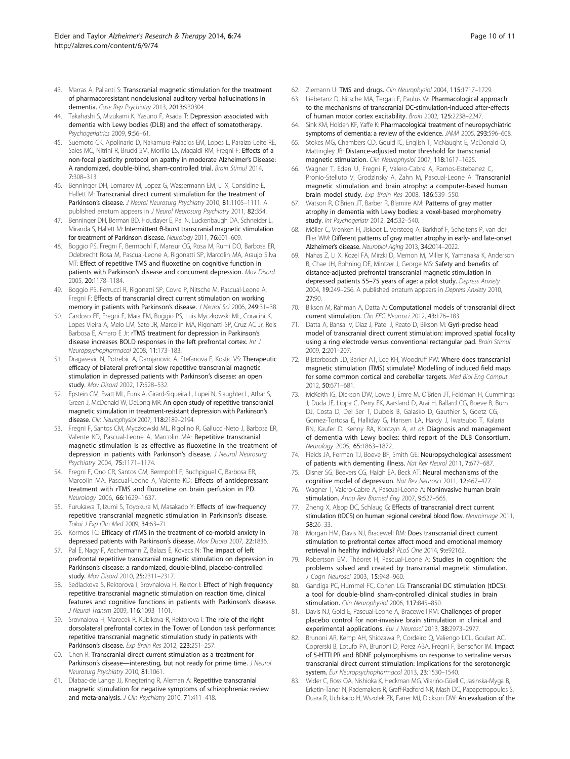- <span id="page-9-0"></span>43. Marras A, Pallanti S: Transcranial magnetic stimulation for the treatment of pharmacoresistant nondelusional auditory verbal hallucinations in dementia. Case Rep Psychiatry 2013, 2013:930304.
- 44. Takahashi S, Mizukami K, Yasuno F, Asada T: Depression associated with dementia with Lewy bodies (DLB) and the effect of somatotherapy. Psychogeriatrics 2009, 9:56–61.
- 45. Suemoto CK, Apolinario D, Nakamura-Palacios EM, Lopes L, Paraizo Leite RE, Sales MC, Nitrini R, Brucki SM, Morillo LS, Magaldi RM, Fregni F: Effects of a non-focal plasticity protocol on apathy in moderate Alzheimer's Disease: A randomized, double-blind, sham-controlled trial. Brain Stimul 2014, 7:308–313.
- 46. Benninger DH, Lomarev M, Lopez G, Wassermann EM, Li X, Considine E, Hallett M: Transcranial direct current stimulation for the treatment of Parkinson's disease. J Neurol Neurosurg Psychiatry 2010, 81:1105-1111. A published erratum appears in J Neurol Neurosurg Psychiatry 2011, 82:354.
- 47. Benninger DH, Berman BD, Houdayer E, Pal N, Luckenbaugh DA, Schneider L, Miranda S, Hallett M: Intermittent θ-burst transcranial magnetic stimulation for treatment of Parkinson disease. Neurology 2011, 76:601–609.
- 48. Boggio PS, Fregni F, Bermpohl F, Mansur CG, Rosa M, Rumi DO, Barbosa ER, Odebrecht Rosa M, Pascual-Leone A, Rigonatti SP, Marcolin MA, Araujo Silva MT: Effect of repetitive TMS and fluoxetine on cognitive function in patients with Parkinson's disease and concurrent depression. Mov Disord 2005, 20:1178–1184.
- 49. Boggio PS, Ferrucci R, Rigonatti SP, Covre P, Nitsche M, Pascual-Leone A, Fregni F: Effects of transcranial direct current stimulation on working memory in patients with Parkinson's disease. J Neurol Sci 2006, 249:31-38.
- 50. Cardoso EF, Fregni F, Maia FM, Boggio PS, Luis Myczkowski ML, Coracini K, Lopes Vieira A, Melo LM, Sato JR, Marcolin MA, Rigonatti SP, Cruz AC Jr, Reis Barbosa E, Amaro E Jr: rTMS treatment for depression in Parkinson's disease increases BOLD responses in the left prefrontal cortex. Int J Neuropsychopharmacol 2008, 11:173–183.
- 51. Dragasevic N, Potrebic A, Damjanovic A, Stefanova E, Kostic VS: Therapeutic efficacy of bilateral prefrontal slow repetitive transcranial magnetic stimulation in depressed patients with Parkinson's disease: an open study. Mov Disord 2002, 17:528–532.
- 52. Epstein CM, Evatt ML, Funk A, Girard-Siqueira L, Lupei N, Slaughter L, Athar S, Green J, McDonald W, DeLong MR: An open study of repetitive transcranial magnetic stimulation in treatment-resistant depression with Parkinson's disease. Clin Neurophysiol 2007, 118:2189-2194.
- 53. Fregni F, Santos CM, Myczkowski ML, Rigolino R, Gallucci-Neto J, Barbosa ER, Valente KD, Pascual-Leone A, Marcolin MA: Repetitive transcranial magnetic stimulation is as effective as fluoxetine in the treatment of depression in patients with Parkinson's disease. J Neurol Neurosurg Psychiatry 2004, 75:1171–1174.
- 54. Fregni F, Ono CR, Santos CM, Bermpohl F, Buchpiguel C, Barbosa ER, Marcolin MA, Pascual-Leone A, Valente KD: Effects of antidepressant treatment with rTMS and fluoxetine on brain perfusion in PD. Neurology 2006, 66:1629–1637.
- 55. Furukawa T, Izumi S, Toyokura M, Masakado Y: Effects of low-frequency repetitive transcranial magnetic stimulation in Parkinson's disease. Tokai J Exp Clin Med 2009, 34:63–71.
- 56. Kormos TC: Efficacy of rTMS in the treatment of co-morbid anxiety in depressed patients with Parkinson's disease. Mov Disord 2007, 22:1836.
- 57. Pal E, Nagy F, Aschermann Z, Balazs E, Kovacs N: The impact of left prefrontal repetitive transcranial magnetic stimulation on depression in Parkinson's disease: a randomized, double-blind, placebo-controlled study. Mov Disord 2010, 25:2311–2317.
- 58. Sedlackova S, Rektorova I, Srovnalova H, Rektor I: Effect of high frequency repetitive transcranial magnetic stimulation on reaction time, clinical features and cognitive functions in patients with Parkinson's disease. J Neural Transm 2009, 116:1093–1101.
- 59. Srovnalova H, Marecek R, Kubikova R, Rektorova I: The role of the right dorsolateral prefrontal cortex in the Tower of London task performance: repetitive transcranial magnetic stimulation study in patients with Parkinson's disease. Exp Brain Res 2012, 223:251–257.
- 60. Chen R: Transcranial direct current stimulation as a treatment for Parkinson's disease—interesting, but not ready for prime time. J Neurol Neurosurg Psychiatry 2010, 81:1061.
- 61. Dlabac-de Lange JJ, Knegtering R, Aleman A: Repetitive transcranial magnetic stimulation for negative symptoms of schizophrenia: review and meta-analysis. J Clin Psychiatry 2010, 71:411-418.
- 62. Ziemann U: TMS and drugs. Clin Neurophysiol 2004, 115:1717–1729.
- Liebetanz D, Nitsche MA, Tergau F, Paulus W: Pharmacological approach to the mechanisms of transcranial DC‐stimulation‐induced after‐effects of human motor cortex excitability. Brain 2002, 125:2238–2247.
- 64. Sink KM, Holden KF, Yaffe K: Pharmacological treatment of neuropsychiatric symptoms of dementia: a review of the evidence. JAMA 2005, 293:596–608.
- 65. Stokes MG, Chambers CD, Gould IC, English T, McNaught E, McDonald O, Mattingley JB: Distance-adjusted motor threshold for transcranial magnetic stimulation. Clin Neurophysiol 2007, 118:1617-1625.
- 66. Wagner T, Eden U, Fregni F, Valero-Cabre A, Ramos-Estebanez C, Pronio-Stelluto V, Grodzinsky A, Zahn M, Pascual-Leone A: Transcranial magnetic stimulation and brain atrophy: a computer-based human brain model study. Exp Brain Res 2008, 186:539–550.
- 67. Watson R, O'Brien JT, Barber R, Blamire AM: Patterns of gray matter atrophy in dementia with Lewy bodies: a voxel-based morphometry study. Int Psychogeriatr 2012, 24:532–540.
- 68. Möller C, Vrenken H, Jiskoot L, Versteeg A, Barkhof F, Scheltens P, van der Flier WM: Different patterns of gray matter atrophy in early- and late-onset Alzheimer's disease. Neurobiol Aging 2013, 34:2014–2022.
- 69. Nahas Z, Li X, Kozel FA, Mirzki D, Memon M, Miller K, Yamanaka K, Anderson B, Chae JH, Bohning DE, Mintzer J, George MS: Safety and benefits of distance-adjusted prefrontal transcranial magnetic stimulation in depressed patients 55-75 years of age: a pilot study. Depress Anxiety 2004, 19:249–256. A published erratum appears in Depress Anxiety 2010, 27:90.
- 70. Bikson M, Rahman A, Datta A: Computational models of transcranial direct current stimulation. Clin EEG Neurosci 2012, 43:176–183.
- 71. Datta A, Bansal V, Diaz J, Patel J, Reato D, Bikson M: Gyri-precise head model of transcranial direct current stimulation: improved spatial focality using a ring electrode versus conventional rectangular pad. Brain Stimul 2009, 2:201–207.
- 72. Bijsterbosch JD, Barker AT, Lee KH, Woodruff PW: Where does transcranial magnetic stimulation (TMS) stimulate? Modelling of induced field maps for some common cortical and cerebellar targets. Med Biol Eng Comput 2012, 50:671–681.
- 73. McKeith IG, Dickson DW, Lowe J, Emre M, O'Brien JT, Feldman H, Cummings J, Duda JE, Lippa C, Perry EK, Aarsland D, Arai H, Ballard CG, Boeve B, Burn DJ, Costa D, Del Ser T, Dubois B, Galasko D, Gauthier S, Goetz CG, Gomez-Tortosa E, Halliday G, Hansen LA, Hardy J, Iwatsubo T, Kalaria RN, Kaufer D, Kenny RA, Korczyn A, et al: Diagnosis and management of dementia with Lewy bodies: third report of the DLB Consortium. Neurology 2005, 65:1863–1872.
- 74. Fields JA, Ferman TJ, Boeve BF, Smith GE: Neuropsychological assessment of patients with dementing illness. Nat Rev Neurol 2011, 7:677–687.
- 75. Disner SG, Beevers CG, Haigh EA, Beck AT: Neural mechanisms of the cognitive model of depression. Nat Rev Neurosci 2011, 12:467–477.
- 76. Wagner T, Valero-Cabre A, Pascual-Leone A: Noninvasive human brain stimulation. Annu Rev Biomed Eng 2007, 9:527-565.
- 77. Zheng X, Alsop DC, Schlaug G: Effects of transcranial direct current stimulation (tDCS) on human regional cerebral blood flow. Neuroimage 2011, 58:26–33.
- 78. Morgan HM, Davis NJ, Bracewell RM: Does transcranial direct current stimulation to prefrontal cortex affect mood and emotional memory retrieval in healthy individuals? PLoS One 2014, 9:e92162.
- 79. Robertson EM, Théoret H, Pascual-Leone A: Studies in cognition: the problems solved and created by transcranial magnetic stimulation. J Cogn Neurosci 2003, 15:948-960.
- 80. Gandiga PC, Hummel FC, Cohen LG: Transcranial DC stimulation (tDCS): a tool for double-blind sham-controlled clinical studies in brain stimulation. Clin Neurophysiol 2006, 117:845–850.
- 81. Davis NJ, Gold E, Pascual-Leone A, Bracewell RM: Challenges of proper placebo control for non-invasive brain stimulation in clinical and experimental applications. Eur J Neurosci 2013, 38:2973–2977.
- 82. Brunoni AR, Kemp AH, Shiozawa P, Cordeiro Q, Valiengo LCL, Goulart AC, Coprerski B, Lotufo PA, Brunoni D, Perez ABA, Fregni F, Benseñor IM: Impact of 5-HTTLPR and BDNF polymorphisms on response to sertraline versus transcranial direct current stimulation: Implications for the serotonergic system. Eur Neuropsychopharmacol 2013, 23:1530–1540.
- 83. Wider C, Ross OA, Nishioka K, Heckman MG, Vilariño-Güell C, Jasinska-Myga B, Erketin-Taner N, Rademakers R, Graff-Radford NR, Mash DC, Papapetropoulos S, Duara R, Uchikado H, Wszolek ZK, Farrer MJ, Dickson DW: An evaluation of the